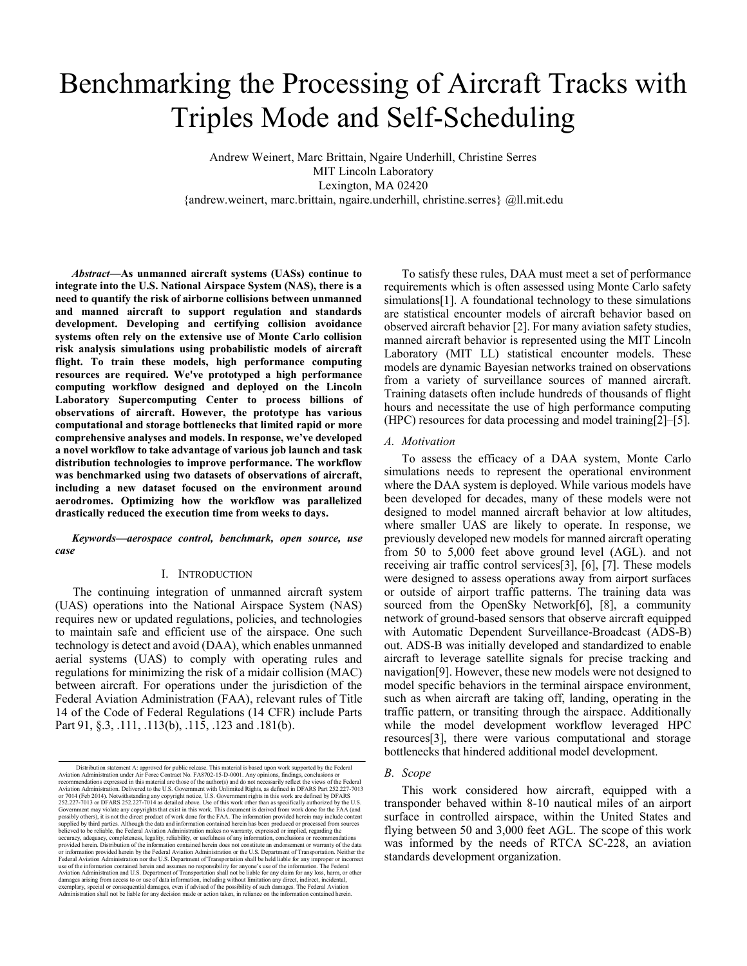# Benchmarking the Processing of Aircraft Tracks with Triples Mode and Self-Scheduling

Andrew Weinert, Marc Brittain, Ngaire Underhill, Christine Serres MIT Lincoln Laboratory Lexington, MA 02420 {andrew.weinert, marc.brittain, ngaire.underhill, christine.serres} @ll.mit.edu

*Abstract***—As unmanned aircraft systems (UASs) continue to integrate into the U.S. National Airspace System (NAS), there is a need to quantify the risk of airborne collisions between unmanned and manned aircraft to support regulation and standards development. Developing and certifying collision avoidance systems often rely on the extensive use of Monte Carlo collision risk analysis simulations using probabilistic models of aircraft flight. To train these models, high performance computing resources are required. We've prototyped a high performance computing workflow designed and deployed on the Lincoln Laboratory Supercomputing Center to process billions of observations of aircraft. However, the prototype has various computational and storage bottlenecks that limited rapid or more comprehensive analyses and models. In response, we've developed a novel workflow to take advantage of various job launch and task distribution technologies to improve performance. The workflow was benchmarked using two datasets of observations of aircraft, including a new dataset focused on the environment around aerodromes. Optimizing how the workflow was parallelized drastically reduced the execution time from weeks to days.**

*Keywords—aerospace control, benchmark, open source, use case*

#### I. INTRODUCTION

The continuing integration of unmanned aircraft system (UAS) operations into the National Airspace System (NAS) requires new or updated regulations, policies, and technologies to maintain safe and efficient use of the airspace. One such technology is detect and avoid (DAA), which enables unmanned aerial systems (UAS) to comply with operating rules and regulations for minimizing the risk of a midair collision (MAC) between aircraft. For operations under the jurisdiction of the Federal Aviation Administration (FAA), relevant rules of Title 14 of the Code of Federal Regulations (14 CFR) include Parts Part 91, §.3, .111, .113(b), .115, .123 and .181(b).

To satisfy these rules, DAA must meet a set of performance requirements which is often assessed using Monte Carlo safety simulations[1]. A foundational technology to these simulations are statistical encounter models of aircraft behavior based on observed aircraft behavior [2]. For many aviation safety studies, manned aircraft behavior is represented using the MIT Lincoln Laboratory (MIT LL) statistical encounter models. These models are dynamic Bayesian networks trained on observations from a variety of surveillance sources of manned aircraft. Training datasets often include hundreds of thousands of flight hours and necessitate the use of high performance computing (HPC) resources for data processing and model training[2]–[5].

#### *A. Motivation*

To assess the efficacy of a DAA system, Monte Carlo simulations needs to represent the operational environment where the DAA system is deployed. While various models have been developed for decades, many of these models were not designed to model manned aircraft behavior at low altitudes, where smaller UAS are likely to operate. In response, we previously developed new models for manned aircraft operating from 50 to 5,000 feet above ground level (AGL). and not receiving air traffic control services[3], [6], [7]. These models were designed to assess operations away from airport surfaces or outside of airport traffic patterns. The training data was sourced from the OpenSky Network[6], [8], a community network of ground-based sensors that observe aircraft equipped with Automatic Dependent Surveillance-Broadcast (ADS-B) out. ADS-B was initially developed and standardized to enable aircraft to leverage satellite signals for precise tracking and navigation[9]. However, these new models were not designed to model specific behaviors in the terminal airspace environment, such as when aircraft are taking off, landing, operating in the traffic pattern, or transiting through the airspace. Additionally while the model development workflow leveraged HPC resources[3], there were various computational and storage bottlenecks that hindered additional model development.

#### *B. Scope*

This work considered how aircraft, equipped with a transponder behaved within 8-10 nautical miles of an airport surface in controlled airspace, within the United States and flying between 50 and 3,000 feet AGL. The scope of this work was informed by the needs of RTCA SC-228, an aviation standards development organization.

Distribution statement A: approved for public release. This material is based upon work supported by the Federal<br>Aviation Administration under Air Force Content No. FA8702-15-D-0001. Any opinions, findings, conclusions or<br> Government may violate any copyrights that exist in this work. This document is derived from work done for the FAA (and possibly others), it is not the direct product of work done for the FaA (and supplied by third parties provided herein. Distribution of the information contained herein does not constitute an endorsement or warranty of the data<br>or information provided herein by the Federal Aviation Administration or the U.S. Department of T exemplary, special or consequential damages, even if advised of the possibility of such damages. The Federal Aviation<br>Administration shall not be liable for any decision made or action taken, in reliance on the information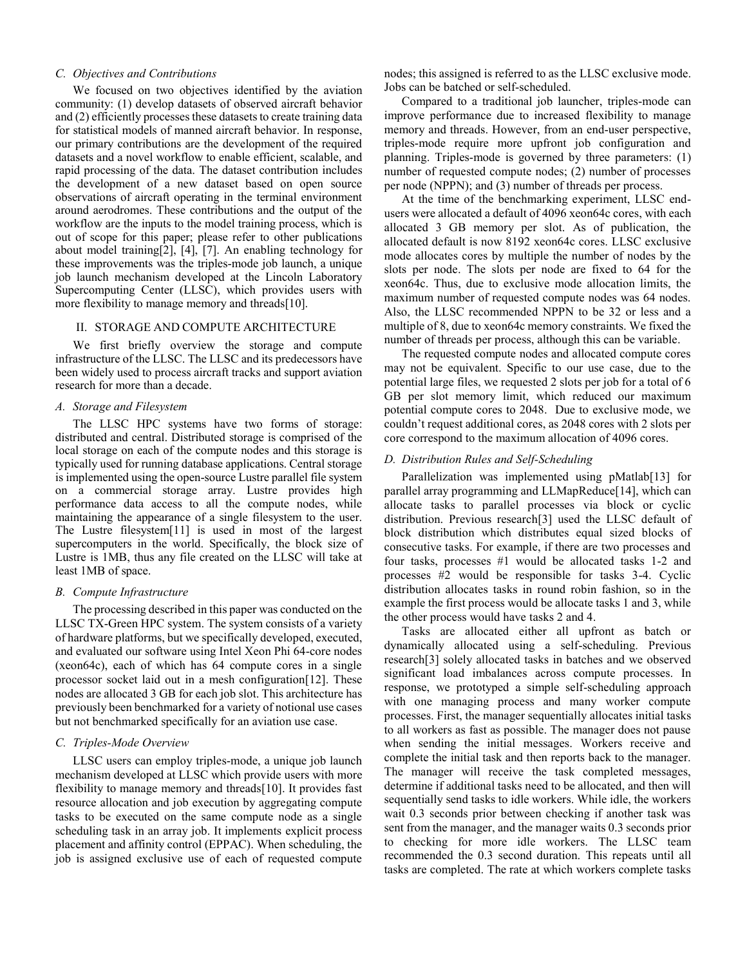# *C. Objectives and Contributions*

We focused on two objectives identified by the aviation community: (1) develop datasets of observed aircraft behavior and (2) efficiently processes these datasets to create training data for statistical models of manned aircraft behavior. In response, our primary contributions are the development of the required datasets and a novel workflow to enable efficient, scalable, and rapid processing of the data. The dataset contribution includes the development of a new dataset based on open source observations of aircraft operating in the terminal environment around aerodromes. These contributions and the output of the workflow are the inputs to the model training process, which is out of scope for this paper; please refer to other publications about model training[2], [4], [7]. An enabling technology for these improvements was the triples-mode job launch, a unique job launch mechanism developed at the Lincoln Laboratory Supercomputing Center (LLSC), which provides users with more flexibility to manage memory and threads[10].

#### II. STORAGE AND COMPUTE ARCHITECTURE

We first briefly overview the storage and compute infrastructure of the LLSC. The LLSC and its predecessors have been widely used to process aircraft tracks and support aviation research for more than a decade.

#### *A. Storage and Filesystem*

The LLSC HPC systems have two forms of storage: distributed and central. Distributed storage is comprised of the local storage on each of the compute nodes and this storage is typically used for running database applications. Central storage is implemented using the open-source Lustre parallel file system on a commercial storage array. Lustre provides high performance data access to all the compute nodes, while maintaining the appearance of a single filesystem to the user. The Lustre filesystem[11] is used in most of the largest supercomputers in the world. Specifically, the block size of Lustre is 1MB, thus any file created on the LLSC will take at least 1MB of space.

#### *B. Compute Infrastructure*

The processing described in this paper was conducted on the LLSC TX-Green HPC system. The system consists of a variety of hardware platforms, but we specifically developed, executed, and evaluated our software using Intel Xeon Phi 64-core nodes (xeon64c), each of which has 64 compute cores in a single processor socket laid out in a mesh configuration[12]. These nodes are allocated 3 GB for each job slot. This architecture has previously been benchmarked for a variety of notional use cases but not benchmarked specifically for an aviation use case.

# *C. Triples-Mode Overview*

LLSC users can employ triples-mode, a unique job launch mechanism developed at LLSC which provide users with more flexibility to manage memory and threads[10]. It provides fast resource allocation and job execution by aggregating compute tasks to be executed on the same compute node as a single scheduling task in an array job. It implements explicit process placement and affinity control (EPPAC). When scheduling, the job is assigned exclusive use of each of requested compute nodes; this assigned is referred to as the LLSC exclusive mode. Jobs can be batched or self-scheduled.

Compared to a traditional job launcher, triples-mode can improve performance due to increased flexibility to manage memory and threads. However, from an end-user perspective, triples-mode require more upfront job configuration and planning. Triples-mode is governed by three parameters: (1) number of requested compute nodes; (2) number of processes per node (NPPN); and (3) number of threads per process.

At the time of the benchmarking experiment, LLSC endusers were allocated a default of 4096 xeon64c cores, with each allocated 3 GB memory per slot. As of publication, the allocated default is now 8192 xeon64c cores. LLSC exclusive mode allocates cores by multiple the number of nodes by the slots per node. The slots per node are fixed to 64 for the xeon64c. Thus, due to exclusive mode allocation limits, the maximum number of requested compute nodes was 64 nodes. Also, the LLSC recommended NPPN to be 32 or less and a multiple of 8, due to xeon64c memory constraints. We fixed the number of threads per process, although this can be variable.

The requested compute nodes and allocated compute cores may not be equivalent. Specific to our use case, due to the potential large files, we requested 2 slots per job for a total of 6 GB per slot memory limit, which reduced our maximum potential compute cores to 2048. Due to exclusive mode, we couldn't request additional cores, as 2048 cores with 2 slots per core correspond to the maximum allocation of 4096 cores.

## *D. Distribution Rules and Self-Scheduling*

Parallelization was implemented using pMatlab[13] for parallel array programming and LLMapReduce[14], which can allocate tasks to parallel processes via block or cyclic distribution. Previous research[3] used the LLSC default of block distribution which distributes equal sized blocks of consecutive tasks. For example, if there are two processes and four tasks, processes #1 would be allocated tasks 1-2 and processes #2 would be responsible for tasks 3-4. Cyclic distribution allocates tasks in round robin fashion, so in the example the first process would be allocate tasks 1 and 3, while the other process would have tasks 2 and 4.

Tasks are allocated either all upfront as batch or dynamically allocated using a self-scheduling. Previous research[3] solely allocated tasks in batches and we observed significant load imbalances across compute processes. In response, we prototyped a simple self-scheduling approach with one managing process and many worker compute processes. First, the manager sequentially allocates initial tasks to all workers as fast as possible. The manager does not pause when sending the initial messages. Workers receive and complete the initial task and then reports back to the manager. The manager will receive the task completed messages, determine if additional tasks need to be allocated, and then will sequentially send tasks to idle workers. While idle, the workers wait 0.3 seconds prior between checking if another task was sent from the manager, and the manager waits 0.3 seconds prior to checking for more idle workers. The LLSC team recommended the 0.3 second duration. This repeats until all tasks are completed. The rate at which workers complete tasks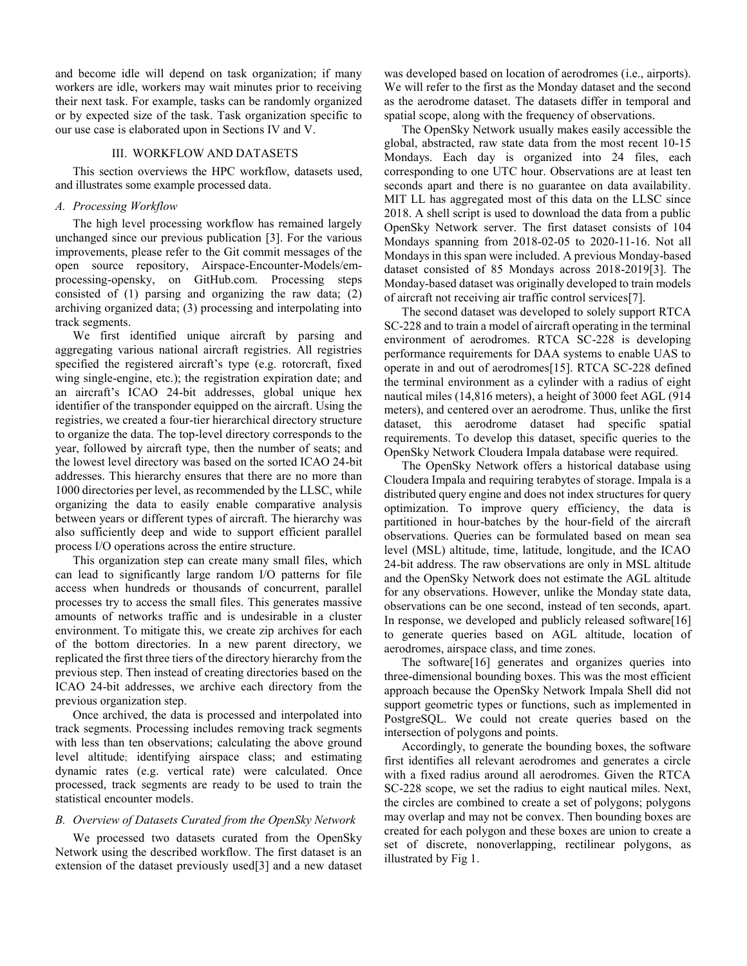and become idle will depend on task organization; if many workers are idle, workers may wait minutes prior to receiving their next task. For example, tasks can be randomly organized or by expected size of the task. Task organization specific to our use case is elaborated upon in Sections IV and V.

# III. WORKFLOW AND DATASETS

This section overviews the HPC workflow, datasets used, and illustrates some example processed data.

# *A. Processing Workflow*

The high level processing workflow has remained largely unchanged since our previous publication [3]. For the various improvements, please refer to the Git commit messages of the open source repository, Airspace-Encounter-Models/emprocessing-opensky, on GitHub.com. Processing steps consisted of (1) parsing and organizing the raw data; (2) archiving organized data; (3) processing and interpolating into track segments.

We first identified unique aircraft by parsing and aggregating various national aircraft registries. All registries specified the registered aircraft's type (e.g. rotorcraft, fixed wing single-engine, etc.); the registration expiration date; and an aircraft's ICAO 24-bit addresses, global unique hex identifier of the transponder equipped on the aircraft. Using the registries, we created a four-tier hierarchical directory structure to organize the data. The top-level directory corresponds to the year, followed by aircraft type, then the number of seats; and the lowest level directory was based on the sorted ICAO 24-bit addresses. This hierarchy ensures that there are no more than 1000 directories per level, as recommended by the LLSC, while organizing the data to easily enable comparative analysis between years or different types of aircraft. The hierarchy was also sufficiently deep and wide to support efficient parallel process I/O operations across the entire structure.

This organization step can create many small files, which can lead to significantly large random I/O patterns for file access when hundreds or thousands of concurrent, parallel processes try to access the small files. This generates massive amounts of networks traffic and is undesirable in a cluster environment. To mitigate this, we create zip archives for each of the bottom directories. In a new parent directory, we replicated the first three tiers of the directory hierarchy from the previous step. Then instead of creating directories based on the ICAO 24-bit addresses, we archive each directory from the previous organization step.

Once archived, the data is processed and interpolated into track segments. Processing includes removing track segments with less than ten observations; calculating the above ground level altitude; identifying airspace class; and estimating dynamic rates (e.g. vertical rate) were calculated. Once processed, track segments are ready to be used to train the statistical encounter models.

#### *B. Overview of Datasets Curated from the OpenSky Network*

We processed two datasets curated from the OpenSky Network using the described workflow. The first dataset is an extension of the dataset previously used[3] and a new dataset was developed based on location of aerodromes (i.e., airports). We will refer to the first as the Monday dataset and the second as the aerodrome dataset. The datasets differ in temporal and spatial scope, along with the frequency of observations.

The OpenSky Network usually makes easily accessible the global, abstracted, raw state data from the most recent 10-15 Mondays. Each day is organized into 24 files, each corresponding to one UTC hour. Observations are at least ten seconds apart and there is no guarantee on data availability. MIT LL has aggregated most of this data on the LLSC since 2018. A shell script is used to download the data from a public OpenSky Network server. The first dataset consists of 104 Mondays spanning from 2018-02-05 to 2020-11-16. Not all Mondays in this span were included. A previous Monday-based dataset consisted of 85 Mondays across 2018-2019[3]. The Monday-based dataset was originally developed to train models of aircraft not receiving air traffic control services[7].

The second dataset was developed to solely support RTCA SC-228 and to train a model of aircraft operating in the terminal environment of aerodromes. RTCA SC-228 is developing performance requirements for DAA systems to enable UAS to operate in and out of aerodromes[15]. RTCA SC-228 defined the terminal environment as a cylinder with a radius of eight nautical miles (14,816 meters), a height of 3000 feet AGL (914 meters), and centered over an aerodrome. Thus, unlike the first dataset, this aerodrome dataset had specific spatial requirements. To develop this dataset, specific queries to the OpenSky Network Cloudera Impala database were required.

The OpenSky Network offers a historical database using Cloudera Impala and requiring terabytes of storage. Impala is a distributed query engine and does not index structures for query optimization. To improve query efficiency, the data is partitioned in hour-batches by the hour-field of the aircraft observations. Queries can be formulated based on mean sea level (MSL) altitude, time, latitude, longitude, and the ICAO 24-bit address. The raw observations are only in MSL altitude and the OpenSky Network does not estimate the AGL altitude for any observations. However, unlike the Monday state data, observations can be one second, instead of ten seconds, apart. In response, we developed and publicly released software[16] to generate queries based on AGL altitude, location of aerodromes, airspace class, and time zones.

The software[16] generates and organizes queries into three-dimensional bounding boxes. This was the most efficient approach because the OpenSky Network Impala Shell did not support geometric types or functions, such as implemented in PostgreSQL. We could not create queries based on the intersection of polygons and points.

Accordingly, to generate the bounding boxes, the software first identifies all relevant aerodromes and generates a circle with a fixed radius around all aerodromes. Given the RTCA SC-228 scope, we set the radius to eight nautical miles. Next, the circles are combined to create a set of polygons; polygons may overlap and may not be convex. Then bounding boxes are created for each polygon and these boxes are union to create a set of discrete, nonoverlapping, rectilinear polygons, as illustrated by Fig 1.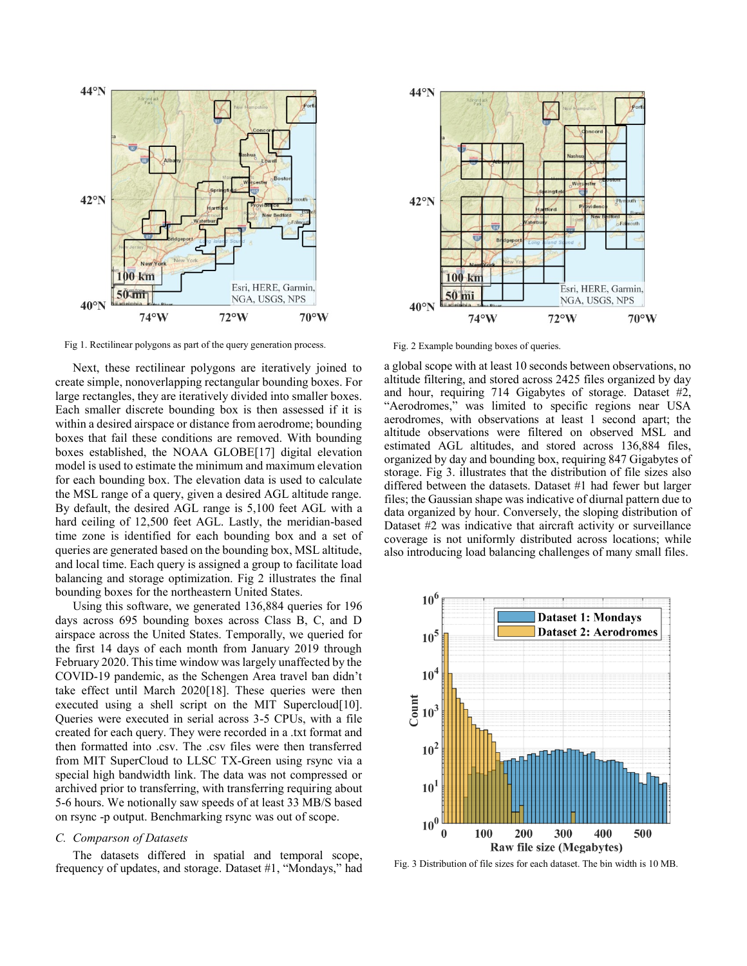

Fig. 2 Example bounding boxes of queries. Fig. 2 Example bounding boxes of queries.

Next, these rectilinear polygons are iteratively joined to create simple, nonoverlapping rectangular bounding boxes. For large rectangles, they are iteratively divided into smaller boxes. Each smaller discrete bounding box is then assessed if it is within a desired airspace or distance from aerodrome; bounding boxes that fail these conditions are removed. With bounding boxes established, the NOAA GLOBE[17] digital elevation model is used to estimate the minimum and maximum elevation for each bounding box. The elevation data is used to calculate the MSL range of a query, given a desired AGL altitude range. By default, the desired AGL range is 5,100 feet AGL with a hard ceiling of 12,500 feet AGL. Lastly, the meridian-based time zone is identified for each bounding box and a set of queries are generated based on the bounding box, MSL altitude, and local time. Each query is assigned a group to facilitate load balancing and storage optimization. Fig 2 illustrates the final bounding boxes for the northeastern United States.

Using this software, we generated 136,884 queries for 196 days across 695 bounding boxes across Class B, C, and D airspace across the United States. Temporally, we queried for the first 14 days of each month from January 2019 through February 2020. This time window was largely unaffected by the COVID-19 pandemic, as the Schengen Area travel ban didn't take effect until March 2020[18]. These queries were then executed using a shell script on the MIT Supercloud[10]. Queries were executed in serial across 3-5 CPUs, with a file created for each query. They were recorded in a .txt format and then formatted into .csv. The .csv files were then transferred from MIT SuperCloud to LLSC TX-Green using rsync via a special high bandwidth link. The data was not compressed or archived prior to transferring, with transferring requiring about 5-6 hours. We notionally saw speeds of at least 33 MB/S based on rsync -p output. Benchmarking rsync was out of scope.

# *C. Comparson of Datasets*

The datasets differed in spatial and temporal scope, frequency of updates, and storage. Dataset #1, "Mondays," had



a global scope with at least 10 seconds between observations, no altitude filtering, and stored across 2425 files organized by day and hour, requiring 714 Gigabytes of storage. Dataset #2, "Aerodromes," was limited to specific regions near USA aerodromes, with observations at least 1 second apart; the altitude observations were filtered on observed MSL and estimated AGL altitudes, and stored across 136,884 files, organized by day and bounding box, requiring 847 Gigabytes of storage. Fig 3. illustrates that the distribution of file sizes also differed between the datasets. Dataset #1 had fewer but larger files; the Gaussian shape was indicative of diurnal pattern due to data organized by hour. Conversely, the sloping distribution of Dataset #2 was indicative that aircraft activity or surveillance coverage is not uniformly distributed across locations; while also introducing load balancing challenges of many small files.



Fig. 3 Distribution of file sizes for each dataset. The bin width is 10 MB.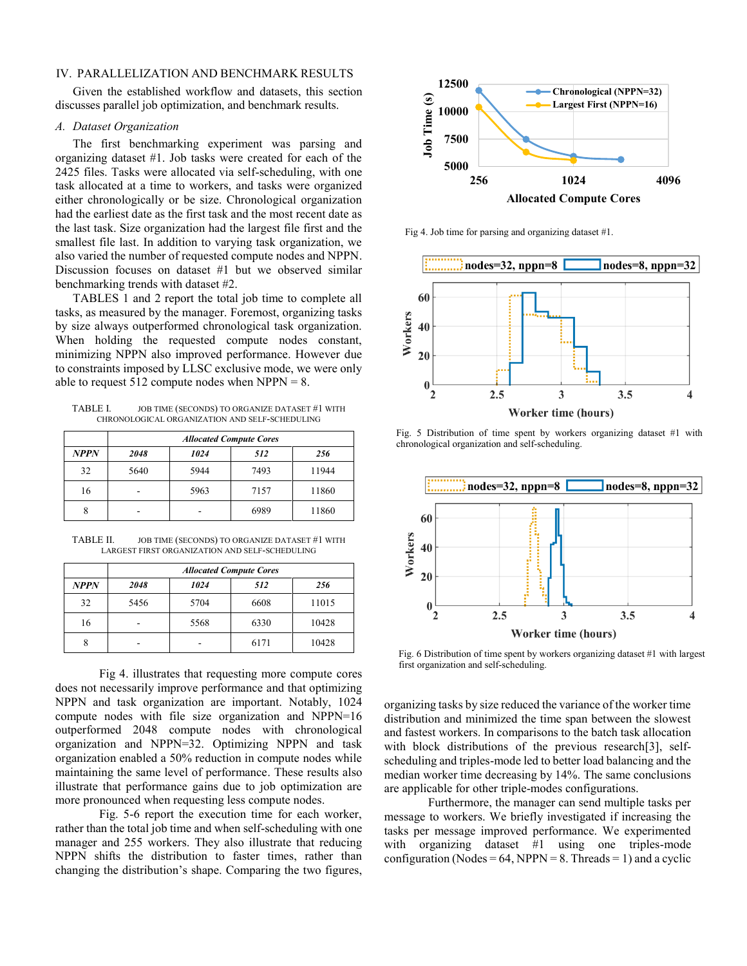#### IV. PARALLELIZATION AND BENCHMARK RESULTS

Given the established workflow and datasets, this section discusses parallel job optimization, and benchmark results.

#### *A. Dataset Organization*

The first benchmarking experiment was parsing and organizing dataset #1. Job tasks were created for each of the 2425 files. Tasks were allocated via self-scheduling, with one task allocated at a time to workers, and tasks were organized either chronologically or be size. Chronological organization had the earliest date as the first task and the most recent date as the last task. Size organization had the largest file first and the smallest file last. In addition to varying task organization, we also varied the number of requested compute nodes and NPPN. Discussion focuses on dataset #1 but we observed similar benchmarking trends with dataset #2.

TABLES 1 and 2 report the total job time to complete all tasks, as measured by the manager. Foremost, organizing tasks by size always outperformed chronological task organization. When holding the requested compute nodes constant, minimizing NPPN also improved performance. However due to constraints imposed by LLSC exclusive mode, we were only able to request  $512$  compute nodes when NPPN = 8.

TABLE I. JOB TIME (SECONDS) TO ORGANIZE DATASET #1 WITH CHRONOLOGICAL ORGANIZATION AND SELF-SCHEDULING

|      | <b>Allocated Compute Cores</b> |      |      |       |  |
|------|--------------------------------|------|------|-------|--|
| NPPN | 2048                           | 1024 | 512  | 256   |  |
| 32   | 5640                           | 5944 | 7493 | 11944 |  |
| 16   |                                | 5963 | 7157 | 11860 |  |
| 8    |                                |      | 6989 | 11860 |  |

TABLE II. JOB TIME (SECONDS) TO ORGANIZE DATASET #1 WITH LARGEST FIRST ORGANIZATION AND SELF-SCHEDULING

|             | <b>Allocated Compute Cores</b> |      |      |       |  |
|-------------|--------------------------------|------|------|-------|--|
| <b>NPPN</b> | 2048                           | 1024 | 512  | 256   |  |
| 32          | 5456                           | 5704 | 6608 | 11015 |  |
| 16          |                                | 5568 | 6330 | 10428 |  |
|             |                                |      | 6171 | 10428 |  |

Fig 4. illustrates that requesting more compute cores does not necessarily improve performance and that optimizing NPPN and task organization are important. Notably, 1024 compute nodes with file size organization and NPPN=16 outperformed 2048 compute nodes with chronological organization and NPPN=32. Optimizing NPPN and task organization enabled a 50% reduction in compute nodes while maintaining the same level of performance. These results also illustrate that performance gains due to job optimization are more pronounced when requesting less compute nodes.

Fig. 5-6 report the execution time for each worker, rather than the total job time and when self-scheduling with one manager and 255 workers. They also illustrate that reducing NPPN shifts the distribution to faster times, rather than changing the distribution's shape. Comparing the two figures,



Fig 4. Job time for parsing and organizing dataset #1.



Fig. 5 Distribution of time spent by workers organizing dataset #1 with chronological organization and self-scheduling.



Fig. 6 Distribution of time spent by workers organizing dataset #1 with largest first organization and self-scheduling.

organizing tasks by size reduced the variance of the worker time distribution and minimized the time span between the slowest and fastest workers. In comparisons to the batch task allocation with block distributions of the previous research<sup>[3]</sup>, selfscheduling and triples-mode led to better load balancing and the median worker time decreasing by 14%. The same conclusions are applicable for other triple-modes configurations.

Furthermore, the manager can send multiple tasks per message to workers. We briefly investigated if increasing the tasks per message improved performance. We experimented with organizing dataset #1 using one triples-mode configuration (Nodes =  $64$ , NPPN = 8. Threads = 1) and a cyclic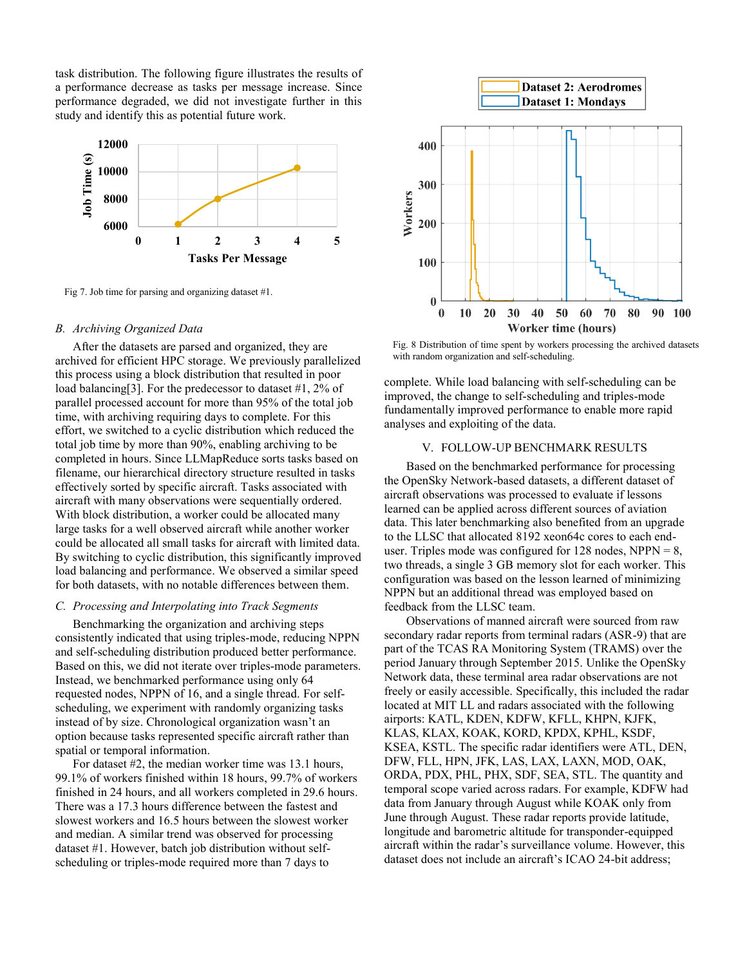task distribution. The following figure illustrates the results of a performance decrease as tasks per message increase. Since performance degraded, we did not investigate further in this study and identify this as potential future work.



Fig 7. Job time for parsing and organizing dataset #1.

#### *B. Archiving Organized Data*

After the datasets are parsed and organized, they are archived for efficient HPC storage. We previously parallelized this process using a block distribution that resulted in poor load balancing[3]. For the predecessor to dataset #1, 2% of parallel processed account for more than 95% of the total job time, with archiving requiring days to complete. For this effort, we switched to a cyclic distribution which reduced the total job time by more than 90%, enabling archiving to be completed in hours. Since LLMapReduce sorts tasks based on filename, our hierarchical directory structure resulted in tasks effectively sorted by specific aircraft. Tasks associated with aircraft with many observations were sequentially ordered. With block distribution, a worker could be allocated many large tasks for a well observed aircraft while another worker could be allocated all small tasks for aircraft with limited data. By switching to cyclic distribution, this significantly improved load balancing and performance. We observed a similar speed for both datasets, with no notable differences between them.

# *C. Processing and Interpolating into Track Segments*

Benchmarking the organization and archiving steps consistently indicated that using triples-mode, reducing NPPN and self-scheduling distribution produced better performance. Based on this, we did not iterate over triples-mode parameters. Instead, we benchmarked performance using only 64 requested nodes, NPPN of 16, and a single thread. For selfscheduling, we experiment with randomly organizing tasks instead of by size. Chronological organization wasn't an option because tasks represented specific aircraft rather than spatial or temporal information.

For dataset #2, the median worker time was 13.1 hours, 99.1% of workers finished within 18 hours, 99.7% of workers finished in 24 hours, and all workers completed in 29.6 hours. There was a 17.3 hours difference between the fastest and slowest workers and 16.5 hours between the slowest worker and median. A similar trend was observed for processing dataset #1. However, batch job distribution without selfscheduling or triples-mode required more than 7 days to



Fig. 8 Distribution of time spent by workers processing the archived datasets with random organization and self-scheduling.

complete. While load balancing with self-scheduling can be improved, the change to self-scheduling and triples-mode fundamentally improved performance to enable more rapid analyses and exploiting of the data.

# V. FOLLOW-UP BENCHMARK RESULTS

Based on the benchmarked performance for processing the OpenSky Network-based datasets, a different dataset of aircraft observations was processed to evaluate if lessons learned can be applied across different sources of aviation data. This later benchmarking also benefited from an upgrade to the LLSC that allocated 8192 xeon64c cores to each enduser. Triples mode was configured for  $128$  nodes, NPPN = 8, two threads, a single 3 GB memory slot for each worker. This configuration was based on the lesson learned of minimizing NPPN but an additional thread was employed based on feedback from the LLSC team.

Observations of manned aircraft were sourced from raw secondary radar reports from terminal radars (ASR-9) that are part of the TCAS RA Monitoring System (TRAMS) over the period January through September 2015. Unlike the OpenSky Network data, these terminal area radar observations are not freely or easily accessible. Specifically, this included the radar located at MIT LL and radars associated with the following airports: KATL, KDEN, KDFW, KFLL, KHPN, KJFK, KLAS, KLAX, KOAK, KORD, KPDX, KPHL, KSDF, KSEA, KSTL. The specific radar identifiers were ATL, DEN, DFW, FLL, HPN, JFK, LAS, LAX, LAXN, MOD, OAK, ORDA, PDX, PHL, PHX, SDF, SEA, STL. The quantity and temporal scope varied across radars. For example, KDFW had data from January through August while KOAK only from June through August. These radar reports provide latitude, longitude and barometric altitude for transponder-equipped aircraft within the radar's surveillance volume. However, this dataset does not include an aircraft's ICAO 24-bit address;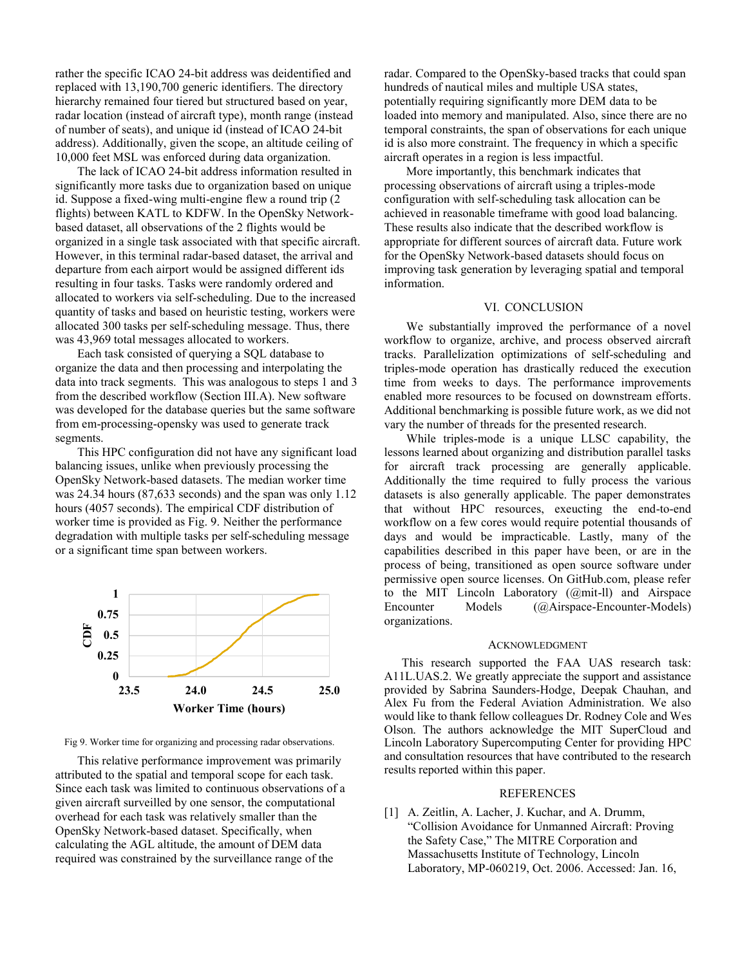rather the specific ICAO 24-bit address was deidentified and replaced with 13,190,700 generic identifiers. The directory hierarchy remained four tiered but structured based on year, radar location (instead of aircraft type), month range (instead of number of seats), and unique id (instead of ICAO 24-bit address). Additionally, given the scope, an altitude ceiling of 10,000 feet MSL was enforced during data organization.

The lack of ICAO 24-bit address information resulted in significantly more tasks due to organization based on unique id. Suppose a fixed-wing multi-engine flew a round trip (2 flights) between KATL to KDFW. In the OpenSky Networkbased dataset, all observations of the 2 flights would be organized in a single task associated with that specific aircraft. However, in this terminal radar-based dataset, the arrival and departure from each airport would be assigned different ids resulting in four tasks. Tasks were randomly ordered and allocated to workers via self-scheduling. Due to the increased quantity of tasks and based on heuristic testing, workers were allocated 300 tasks per self-scheduling message. Thus, there was 43,969 total messages allocated to workers.

Each task consisted of querying a SQL database to organize the data and then processing and interpolating the data into track segments. This was analogous to steps 1 and 3 from the described workflow (Section III.A). New software was developed for the database queries but the same software from em-processing-opensky was used to generate track segments.

This HPC configuration did not have any significant load balancing issues, unlike when previously processing the OpenSky Network-based datasets. The median worker time was 24.34 hours (87,633 seconds) and the span was only 1.12 hours (4057 seconds). The empirical CDF distribution of worker time is provided as Fig. 9. Neither the performance degradation with multiple tasks per self-scheduling message or a significant time span between workers.



Fig 9. Worker time for organizing and processing radar observations.

This relative performance improvement was primarily attributed to the spatial and temporal scope for each task. Since each task was limited to continuous observations of a given aircraft surveilled by one sensor, the computational overhead for each task was relatively smaller than the OpenSky Network-based dataset. Specifically, when calculating the AGL altitude, the amount of DEM data required was constrained by the surveillance range of the

radar. Compared to the OpenSky-based tracks that could span hundreds of nautical miles and multiple USA states, potentially requiring significantly more DEM data to be loaded into memory and manipulated. Also, since there are no temporal constraints, the span of observations for each unique id is also more constraint. The frequency in which a specific aircraft operates in a region is less impactful.

More importantly, this benchmark indicates that processing observations of aircraft using a triples-mode configuration with self-scheduling task allocation can be achieved in reasonable timeframe with good load balancing. These results also indicate that the described workflow is appropriate for different sources of aircraft data. Future work for the OpenSky Network-based datasets should focus on improving task generation by leveraging spatial and temporal information.

### VI. CONCLUSION

We substantially improved the performance of a novel workflow to organize, archive, and process observed aircraft tracks. Parallelization optimizations of self-scheduling and triples-mode operation has drastically reduced the execution time from weeks to days. The performance improvements enabled more resources to be focused on downstream efforts. Additional benchmarking is possible future work, as we did not vary the number of threads for the presented research.

While triples-mode is a unique LLSC capability, the lessons learned about organizing and distribution parallel tasks for aircraft track processing are generally applicable. Additionally the time required to fully process the various datasets is also generally applicable. The paper demonstrates that without HPC resources, exeucting the end-to-end workflow on a few cores would require potential thousands of days and would be impracticable. Lastly, many of the capabilities described in this paper have been, or are in the process of being, transitioned as open source software under permissive open source licenses. On GitHub.com, please refer to the MIT Lincoln Laboratory (@mit-ll) and Airspace Encounter Models (@Airspace-Encounter-Models) organizations.

#### ACKNOWLEDGMENT

This research supported the FAA UAS research task: A11L.UAS.2. We greatly appreciate the support and assistance provided by Sabrina Saunders-Hodge, Deepak Chauhan, and Alex Fu from the Federal Aviation Administration. We also would like to thank fellow colleagues Dr. Rodney Cole and Wes Olson. The authors acknowledge the MIT SuperCloud and Lincoln Laboratory Supercomputing Center for providing HPC and consultation resources that have contributed to the research results reported within this paper.

#### REFERENCES

[1] A. Zeitlin, A. Lacher, J. Kuchar, and A. Drumm, "Collision Avoidance for Unmanned Aircraft: Proving the Safety Case," The MITRE Corporation and Massachusetts Institute of Technology, Lincoln Laboratory, MP-060219, Oct. 2006. Accessed: Jan. 16,